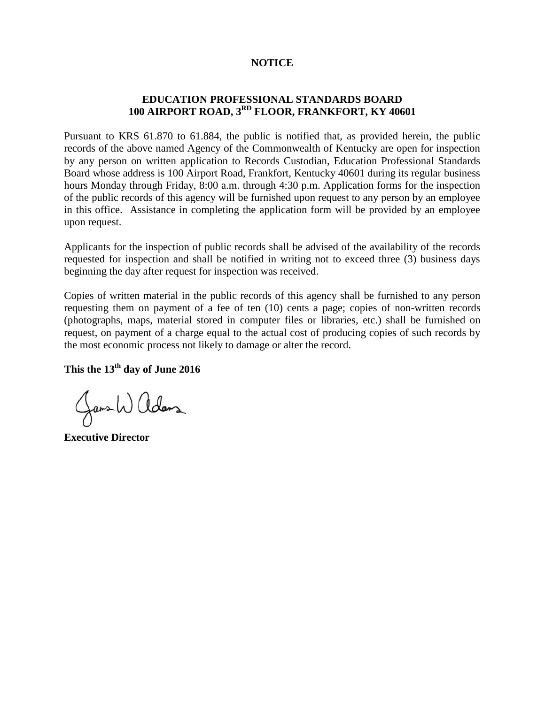## **NOTICE**

## **EDUCATION PROFESSIONAL STANDARDS BOARD 100 AIRPORT ROAD, 3RD FLOOR, FRANKFORT, KY 40601**

Pursuant to KRS 61.870 to 61.884, the public is notified that, as provided herein, the public records of the above named Agency of the Commonwealth of Kentucky are open for inspection by any person on written application to Records Custodian, Education Professional Standards Board whose address is 100 Airport Road, Frankfort, Kentucky 40601 during its regular business hours Monday through Friday, 8:00 a.m. through 4:30 p.m. Application forms for the inspection of the public records of this agency will be furnished upon request to any person by an employee in this office. Assistance in completing the application form will be provided by an employee upon request.

Applicants for the inspection of public records shall be advised of the availability of the records requested for inspection and shall be notified in writing not to exceed three (3) business days beginning the day after request for inspection was received.

Copies of written material in the public records of this agency shall be furnished to any person requesting them on payment of a fee of ten (10) cents a page; copies of non-written records (photographs, maps, material stored in computer files or libraries, etc.) shall be furnished on request, on payment of a charge equal to the actual cost of producing copies of such records by the most economic process not likely to damage or alter the record.

**This the 13th day of June 2016**

Jans Walders

**Executive Director**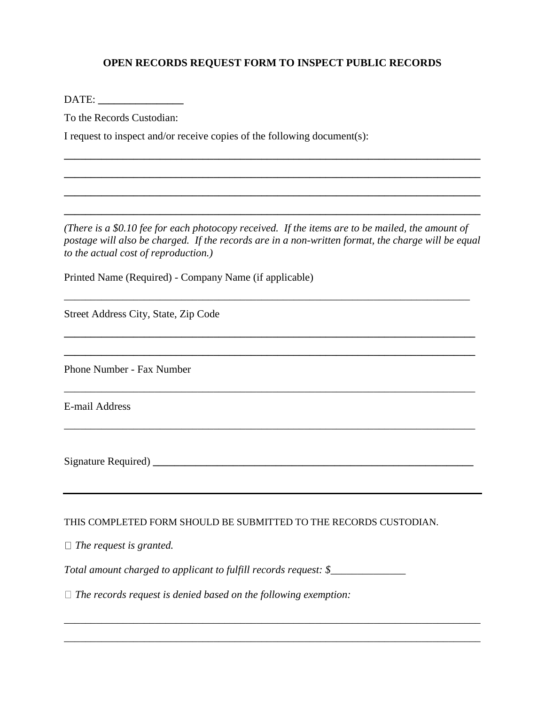## **OPEN RECORDS REQUEST FORM TO INSPECT PUBLIC RECORDS**

DATE:

To the Records Custodian:

I request to inspect and/or receive copies of the following document(s):

*(There is a \$0.10 fee for each photocopy received. If the items are to be mailed, the amount of postage will also be charged. If the records are in a non-written format, the charge will be equal to the actual cost of reproduction.)*

\_\_\_\_\_\_\_\_\_\_\_\_\_\_\_\_\_\_\_\_\_\_\_\_\_\_\_\_\_\_\_\_\_\_\_\_\_\_\_\_\_\_\_\_\_\_\_\_\_\_\_\_\_\_\_\_\_\_\_\_\_\_\_\_\_\_\_\_\_\_\_\_\_\_\_\_

**\_\_\_\_\_\_\_\_\_\_\_\_\_\_\_\_\_\_\_\_\_\_\_\_\_\_\_\_\_\_\_\_\_\_\_\_\_\_\_\_\_\_\_\_\_\_\_\_\_\_\_\_\_\_\_\_\_\_\_\_\_\_\_\_\_\_\_\_\_\_\_\_\_\_\_\_\_**

**\_\_\_\_\_\_\_\_\_\_\_\_\_\_\_\_\_\_\_\_\_\_\_\_\_\_\_\_\_\_\_\_\_\_\_\_\_\_\_\_\_\_\_\_\_\_\_\_\_\_\_\_\_\_\_\_\_\_\_\_\_\_\_\_\_\_\_\_\_\_\_\_\_\_\_\_\_**

\_\_\_\_\_\_\_\_\_\_\_\_\_\_\_\_\_\_\_\_\_\_\_\_\_\_\_\_\_\_\_\_\_\_\_\_\_\_\_\_\_\_\_\_\_\_\_\_\_\_\_\_\_\_\_\_\_\_\_\_\_\_\_\_\_\_\_\_\_\_\_\_\_\_\_\_\_

*\_\_\_\_\_\_\_\_\_\_\_\_\_\_\_\_\_\_\_\_\_\_\_\_\_\_\_\_\_\_\_\_\_\_\_\_\_\_\_\_\_\_\_\_\_\_\_\_\_\_\_\_\_\_\_\_\_\_\_\_\_\_\_\_\_\_\_\_\_\_\_\_\_\_\_\_\_*

**\_\_\_\_\_\_\_\_\_\_\_\_\_\_\_\_\_\_\_\_\_\_\_\_\_\_\_\_\_\_\_\_\_\_\_\_\_\_\_\_\_\_\_\_\_\_\_\_\_\_\_\_\_\_\_\_\_\_\_\_\_\_\_\_\_\_\_\_\_\_\_\_\_\_\_\_\_\_**

**\_\_\_\_\_\_\_\_\_\_\_\_\_\_\_\_\_\_\_\_\_\_\_\_\_\_\_\_\_\_\_\_\_\_\_\_\_\_\_\_\_\_\_\_\_\_\_\_\_\_\_\_\_\_\_\_\_\_\_\_\_\_\_\_\_\_\_\_\_\_\_\_\_\_\_\_\_\_**

**\_\_\_\_\_\_\_\_\_\_\_\_\_\_\_\_\_\_\_\_\_\_\_\_\_\_\_\_\_\_\_\_\_\_\_\_\_\_\_\_\_\_\_\_\_\_\_\_\_\_\_\_\_\_\_\_\_\_\_\_\_\_\_\_\_\_\_\_\_\_\_\_\_\_\_\_\_\_**

**\_\_\_\_\_\_\_\_\_\_\_\_\_\_\_\_\_\_\_\_\_\_\_\_\_\_\_\_\_\_\_\_\_\_\_\_\_\_\_\_\_\_\_\_\_\_\_\_\_\_\_\_\_\_\_\_\_\_\_\_\_\_\_\_\_\_\_\_\_\_\_\_\_\_\_\_\_\_**

Printed Name (Required) - Company Name (if applicable)

Street Address City, State, Zip Code

Phone Number - Fax Number

E-mail Address

Signature Required) **\_\_\_\_\_\_\_\_\_\_\_\_\_\_\_\_\_\_\_\_\_\_\_\_\_\_\_\_\_\_\_\_\_\_\_\_\_\_\_\_\_\_\_\_\_\_\_\_\_\_\_\_\_\_\_\_\_\_\_\_**

## THIS COMPLETED FORM SHOULD BE SUBMITTED TO THE RECORDS CUSTODIAN.

\_\_\_\_\_\_\_\_\_\_\_\_\_\_\_\_\_\_\_\_\_\_\_\_\_\_\_\_\_\_\_\_\_\_\_\_\_\_\_\_\_\_\_\_\_\_\_\_\_\_\_\_\_\_\_\_\_\_\_\_\_\_\_\_\_\_\_\_\_\_\_\_\_\_\_\_\_\_

\_\_\_\_\_\_\_\_\_\_\_\_\_\_\_\_\_\_\_\_\_\_\_\_\_\_\_\_\_\_\_\_\_\_\_\_\_\_\_\_\_\_\_\_\_\_\_\_\_\_\_\_\_\_\_\_\_\_\_\_\_\_\_\_\_\_\_\_\_\_\_\_\_\_\_\_\_\_

*The request is granted.*

*Total amount charged to applicant to fulfill records request: \$\_\_\_\_\_\_\_\_\_\_\_\_\_\_*

*The records request is denied based on the following exemption:*